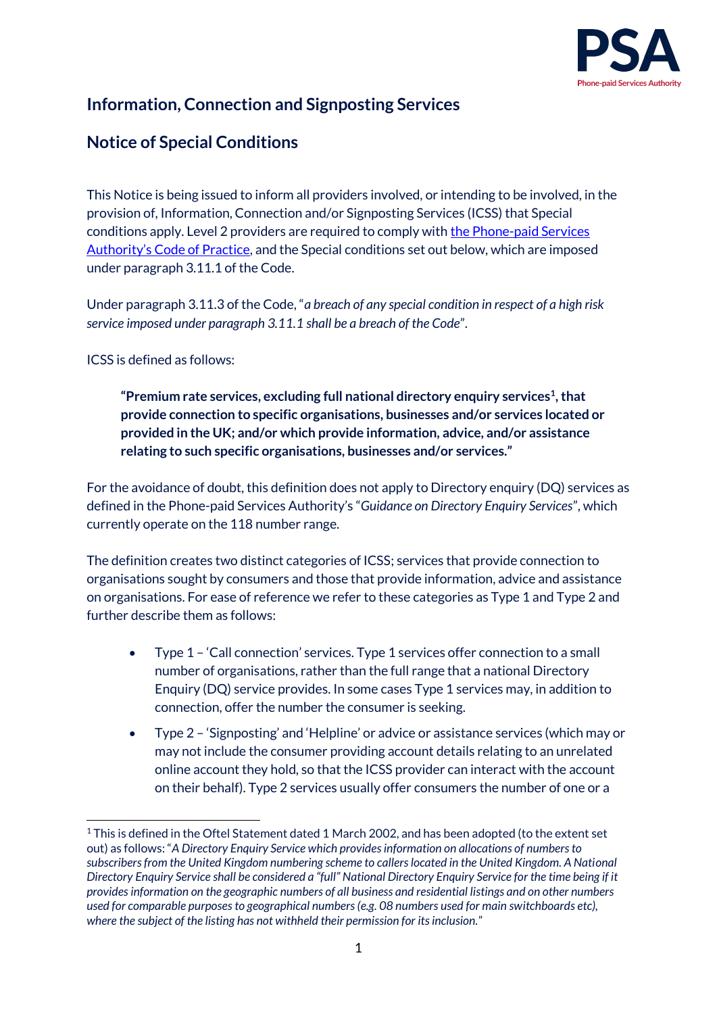

# **Information, Connection and Signposting Services**

## **Notice of Special Conditions**

This Notice is being issued to inform all providers involved, or intending to be involved, in the provision of, Information, Connection and/or Signposting Services (ICSS) that Special conditions apply. Level 2 providers are required to comply with [the Phone-paid Services](http://www.psauthority.org.uk/for-business/code-of-practice)  Authority's [Code of Practice,](http://www.psauthority.org.uk/for-business/code-of-practice) and the Special conditions set out below, which are imposed under paragraph 3.11.1 of the Code.

Under paragraph 3.11.3 of the Code, "*a breach of any special condition in respect of a high risk service imposed under paragraph 3.11.1 shall be a breach of the Code*".

ICSS is defined as follows:

-

**"Premium rate services, excluding full national directory enquiry services<sup>1</sup> , that provide connection to specific organisations, businesses and/or services located or provided in the UK; and/or which provide information, advice, and/or assistance relating to such specific organisations, businesses and/or services."**

For the avoidance of doubt, this definition does not apply to Directory enquiry (DQ) services as defined in the Phone-paid Services Authority's "*Guidance on Directory Enquiry Services*", which currently operate on the 118 number range.

The definition creates two distinct categories of ICSS; services that provide connection to organisations sought by consumers and those that provide information, advice and assistance on organisations. For ease of reference we refer to these categories as Type 1 and Type 2 and further describe them as follows:

- Type 1 'Call connection' services. Type 1 services offer connection to a small number of organisations, rather than the full range that a national Directory Enquiry (DQ) service provides. In some cases Type 1 services may, in addition to connection, offer the number the consumer is seeking.
- Type 2 'Signposting' and 'Helpline' or advice or assistance services (which may or may not include the consumer providing account details relating to an unrelated online account they hold, so that the ICSS provider can interact with the account on their behalf). Type 2 services usually offer consumers the number of one or a

<sup>1</sup> This is defined in the Oftel Statement dated 1 March 2002, and has been adopted (to the extent set out) as follows: "*A Directory Enquiry Service which provides information on allocations of numbers to subscribers from the United Kingdom numbering scheme to callers located in the United Kingdom. A National Directory Enquiry Service shall be considered a "full" National Directory Enquiry Service for the time being if it provides information on the geographic numbers of all business and residential listings and on other numbers used for comparable purposes to geographical numbers (e.g. 08 numbers used for main switchboards etc), where the subject of the listing has not withheld their permission for its inclusion.*"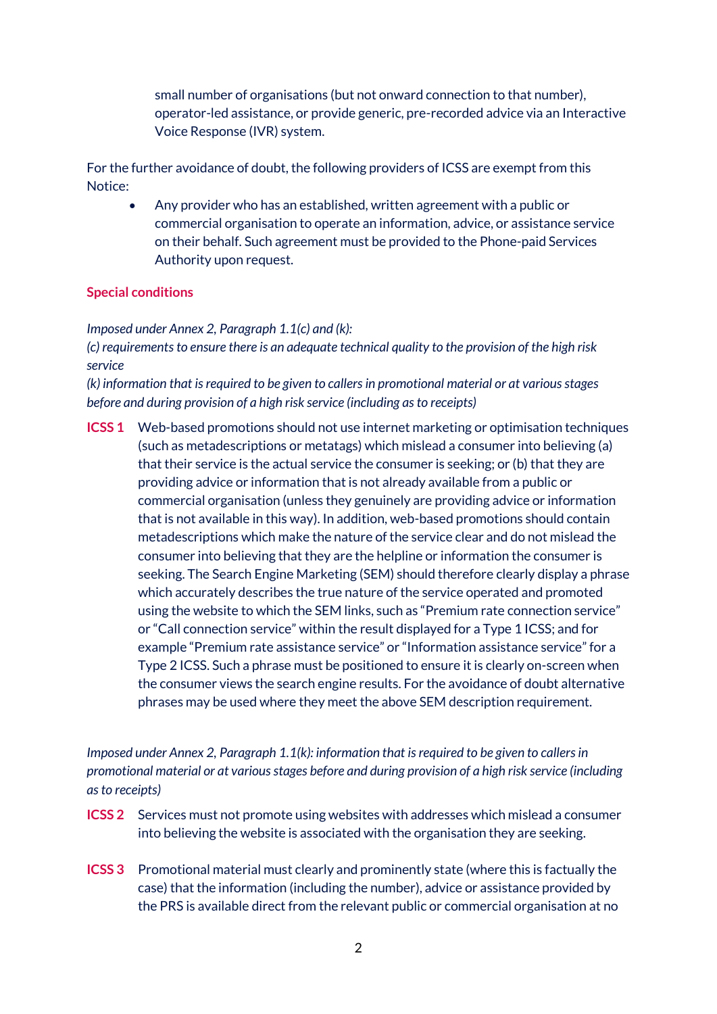small number of organisations (but not onward connection to that number), operator-led assistance, or provide generic, pre-recorded advice via an Interactive Voice Response (IVR) system.

For the further avoidance of doubt, the following providers of ICSS are exempt from this Notice:

 Any provider who has an established, written agreement with a public or commercial organisation to operate an information, advice, or assistance service on their behalf. Such agreement must be provided to the Phone-paid Services Authority upon request.

## **Special conditions**

*Imposed under Annex 2, Paragraph 1.1(c) and (k):* 

*(c) requirements to ensure there is an adequate technical quality to the provision of the high risk service*

*(k) information that is required to be given to callers in promotional material or at various stages before and during provision of a high risk service (including as to receipts)*

**ICSS 1** Web-based promotions should not use internet marketing or optimisation techniques (such as metadescriptions or metatags) which mislead a consumer into believing (a) that their service is the actual service the consumer is seeking; or (b) that they are providing advice or information that is not already available from a public or commercial organisation (unless they genuinely are providing advice or information that is not available in this way). In addition, web-based promotions should contain metadescriptions which make the nature of the service clear and do not mislead the consumer into believing that they are the helpline or information the consumer is seeking. The Search Engine Marketing (SEM) should therefore clearly display a phrase which accurately describes the true nature of the service operated and promoted using the website to which the SEM links, such as "Premium rate connection service" or "Call connection service" within the result displayed for a Type 1 ICSS; and for example "Premium rate assistance service" or "Information assistance service" for a Type 2 ICSS. Such a phrase must be positioned to ensure it is clearly on-screen when the consumer views the search engine results. For the avoidance of doubt alternative phrases may be used where they meet the above SEM description requirement.

*Imposed under Annex 2, Paragraph 1.1(k): information that is required to be given to callers in promotional material or at various stages before and during provision of a high risk service (including as to receipts)*

- **ICSS 2** Services must not promote using websites with addresses which mislead a consumer into believing the website is associated with the organisation they are seeking.
- **ICSS 3** Promotional material must clearly and prominently state (where this is factually the case) that the information (including the number), advice or assistance provided by the PRS is available direct from the relevant public or commercial organisation at no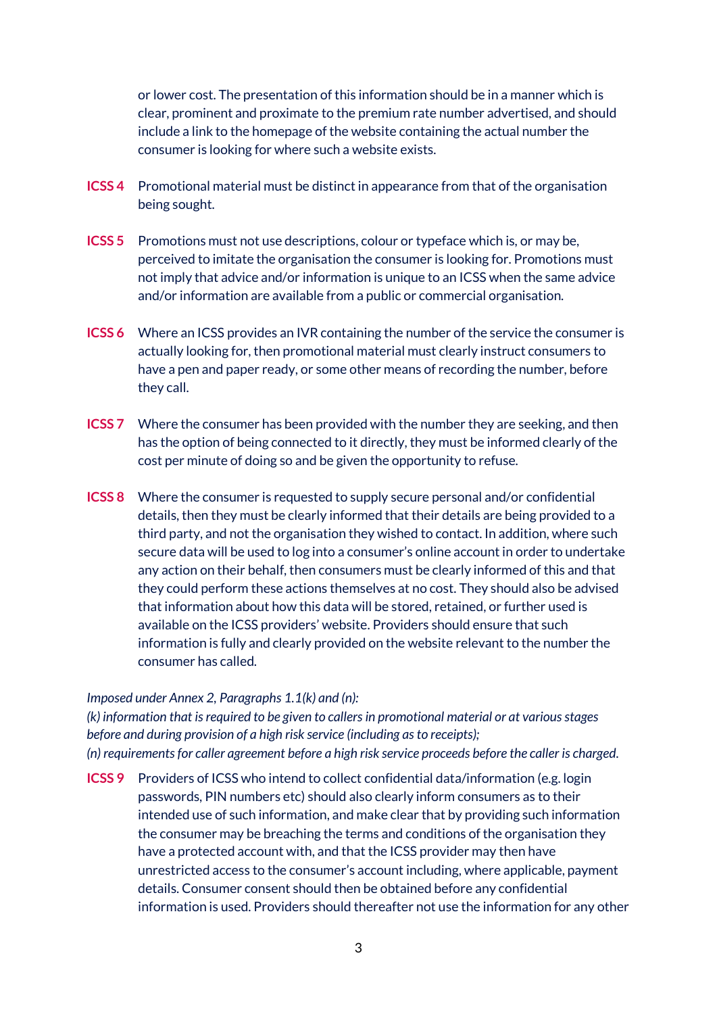or lower cost. The presentation of this information should be in a manner which is clear, prominent and proximate to the premium rate number advertised, and should include a link to the homepage of the website containing the actual number the consumer is looking for where such a website exists.

- **ICSS 4** Promotional material must be distinct in appearance from that of the organisation being sought.
- **ICSS 5** Promotions must not use descriptions, colour or typeface which is, or may be, perceived to imitate the organisation the consumer is looking for. Promotions must not imply that advice and/or information is unique to an ICSS when the same advice and/or information are available from a public or commercial organisation.
- **ICSS 6** Where an ICSS provides an IVR containing the number of the service the consumer is actually looking for, then promotional material must clearly instruct consumers to have a pen and paper ready, or some other means of recording the number, before they call.
- **ICSS 7** Where the consumer has been provided with the number they are seeking, and then has the option of being connected to it directly, they must be informed clearly of the cost per minute of doing so and be given the opportunity to refuse.
- **ICSS 8** Where the consumer is requested to supply secure personal and/or confidential details, then they must be clearly informed that their details are being provided to a third party, and not the organisation they wished to contact. In addition, where such secure data will be used to log into a consumer's online account in order to undertake any action on their behalf, then consumers must be clearly informed of this and that they could perform these actions themselves at no cost. They should also be advised that information about how this data will be stored, retained, or further used is available on the ICSS providers' website. Providers should ensure that such information is fully and clearly provided on the website relevant to the number the consumer has called.

#### *Imposed under Annex 2, Paragraphs 1.1(k) and (n):*

*(k) information that is required to be given to callers in promotional material or at various stages before and during provision of a high risk service (including as to receipts); (n) requirements for caller agreement before a high risk service proceeds before the caller is charged.*

**ICSS 9** Providers of ICSS who intend to collect confidential data/information (e.g. login passwords, PIN numbers etc) should also clearly inform consumers as to their intended use of such information, and make clear that by providing such information the consumer may be breaching the terms and conditions of the organisation they have a protected account with, and that the ICSS provider may then have unrestricted access to the consumer's account including, where applicable, payment details. Consumer consent should then be obtained before any confidential information is used. Providers should thereafter not use the information for any other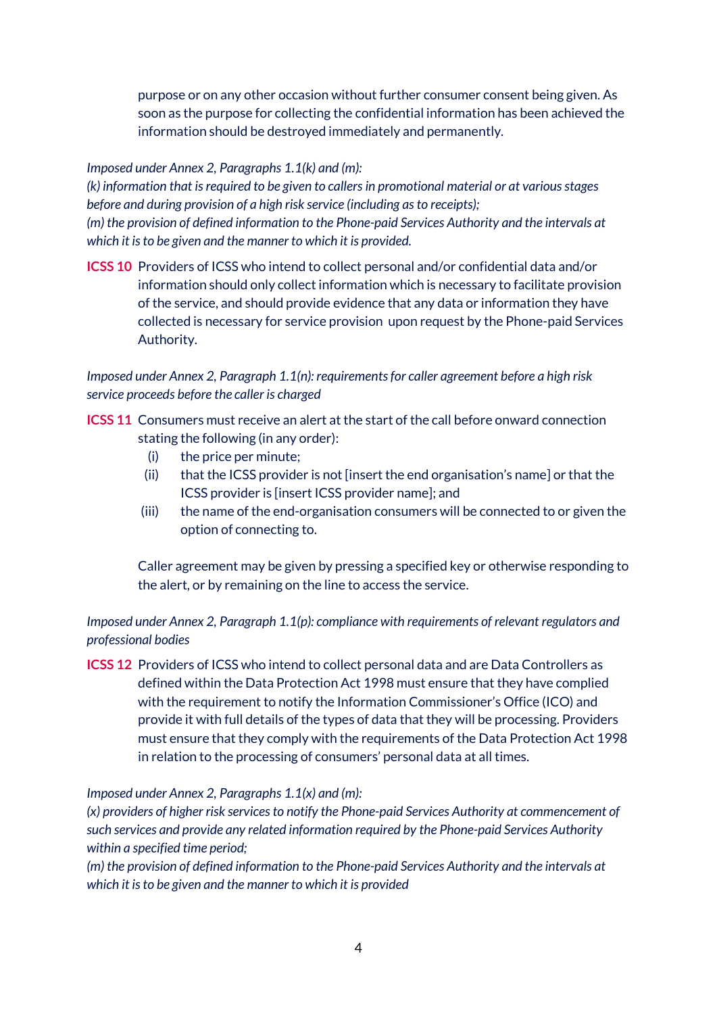purpose or on any other occasion without further consumer consent being given. As soon as the purpose for collecting the confidential information has been achieved the information should be destroyed immediately and permanently.

## *Imposed under Annex 2, Paragraphs 1.1(k) and (m):*

*(k) information that is required to be given to callers in promotional material or at various stages before and during provision of a high risk service (including as to receipts); (m) the provision of defined information to the Phone-paid Services Authority and the intervals at which it is to be given and the manner to which it is provided.*

**ICSS 10** Providers of ICSS who intend to collect personal and/or confidential data and/or information should only collect information which is necessary to facilitate provision of the service, and should provide evidence that any data or information they have collected is necessary for service provision upon request by the Phone-paid Services Authority.

*Imposed under Annex 2, Paragraph 1.1(n): requirements for caller agreement before a high risk service proceeds before the caller is charged*

- **ICSS 11** Consumers must receive an alert at the start of the call before onward connection stating the following (in any order):
	- (i) the price per minute;
	- (ii) that the ICSS provider is not [insert the end organisation's name] or that the ICSS provider is [insert ICSS provider name]; and
	- (iii) the name of the end-organisation consumers will be connected to or given the option of connecting to.

Caller agreement may be given by pressing a specified key or otherwise responding to the alert, or by remaining on the line to access the service.

## *Imposed under Annex 2, Paragraph 1.1(p): compliance with requirements of relevant regulators and professional bodies*

**ICSS 12** Providers of ICSS who intend to collect personal data and are Data Controllers as defined within the Data Protection Act 1998 must ensure that they have complied with the requirement to notify the Information Commissioner's Office (ICO) and provide it with full details of the types of data that they will be processing. Providers must ensure that they comply with the requirements of the Data Protection Act 1998 in relation to the processing of consumers' personal data at all times.

### *Imposed under Annex 2, Paragraphs 1.1(x) and (m):*

*(x) providers of higher risk services to notify the Phone-paid Services Authority at commencement of such services and provide any related information required by the Phone-paid Services Authority within a specified time period;*

*(m) the provision of defined information to the Phone-paid Services Authority and the intervals at which it is to be given and the manner to which it is provided*